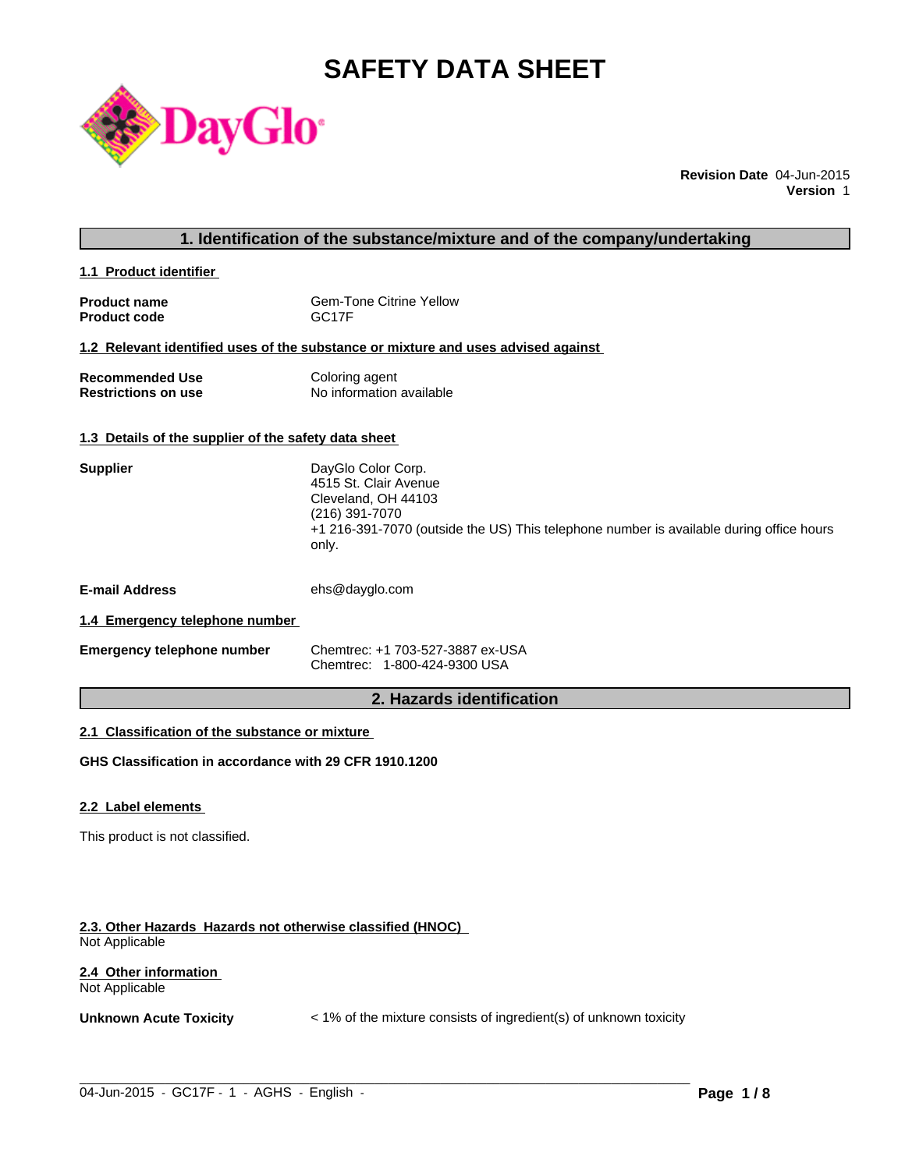# **SAFETY DATA SHEET**



**Revision Date** 04-Jun-2015 **Version** 1

#### **1. Identification of the substance/mixture and of the company/undertaking**

**1.1 Product identifier** 

| <b>Product name</b> | <b>Gem-Tone Citrine Yellow</b> |
|---------------------|--------------------------------|
| <b>Product code</b> | GC <sub>17</sub> F             |

#### **1.2 Relevant identified uses of the substance or mixture and uses advised against**

| <b>Recommended Use</b>     | Coloring agent           |
|----------------------------|--------------------------|
| <b>Restrictions on use</b> | No information available |

### **1.3 Details of the supplier of the safety data sheet**

| <b>Supplier</b>                | DayGlo Color Corp.<br>4515 St. Clair Avenue<br>Cleveland, OH 44103<br>(216) 391-7070<br>+1 216-391-7070 (outside the US) This telephone number is available during office hours<br>only. |
|--------------------------------|------------------------------------------------------------------------------------------------------------------------------------------------------------------------------------------|
| <b>E-mail Address</b>          | ehs@dayglo.com                                                                                                                                                                           |
| 1.4 Emergency telephone number |                                                                                                                                                                                          |

| Emergency telephone number | Chemtrec: +1 703-527-3887 ex-USA |
|----------------------------|----------------------------------|

Chemtrec: 1-800-424-9300 USA

# **2. Hazards identification**

#### **2.1 Classification of the substance or mixture**

**GHS Classification in accordance with 29 CFR 1910.1200**

#### **2.2 Label elements**

This product is not classified.

#### **2.3. Other Hazards Hazards not otherwise classified (HNOC)**  Not Applicable

#### **2.4 Other information**  Not Applicable

**Unknown Acute Toxicity**  $\lt$  1% of the mixture consists of ingredient(s) of unknown toxicity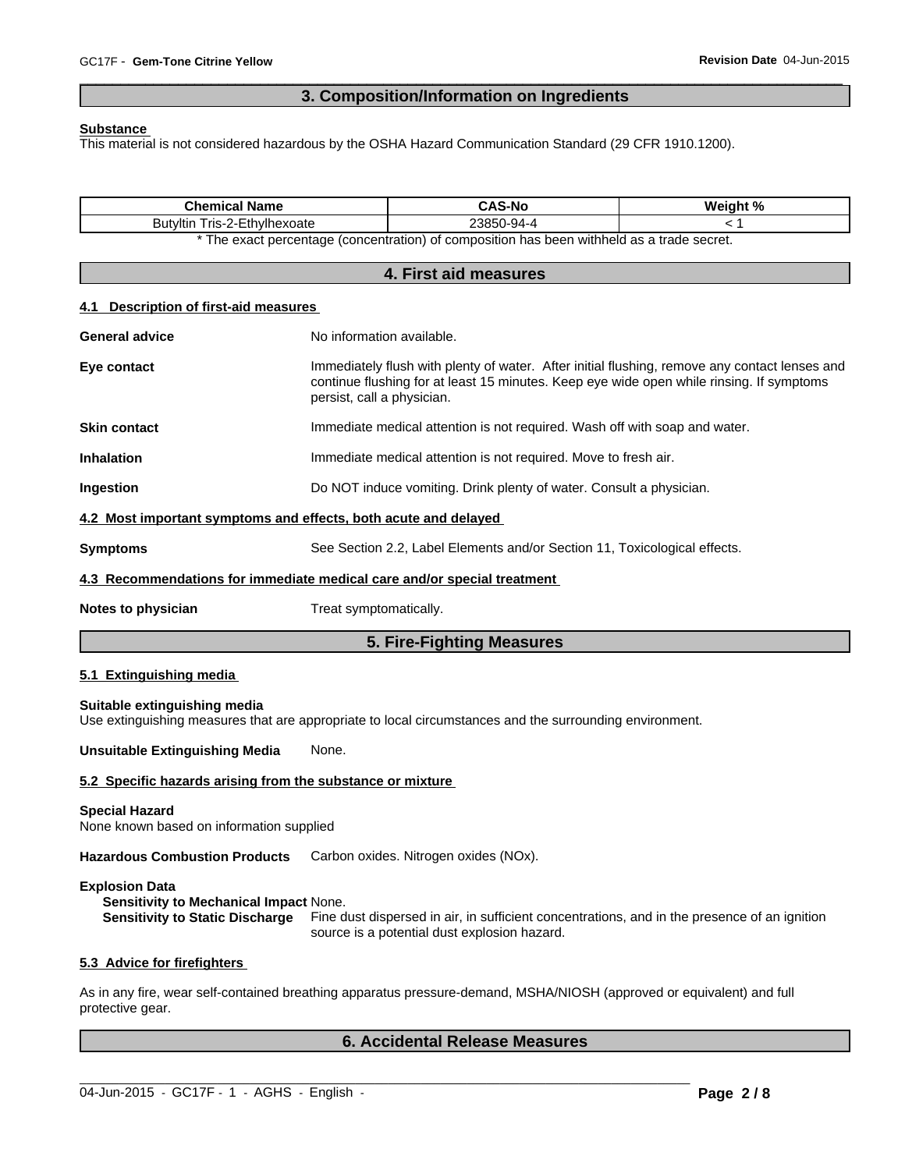# **3. Composition/Information on Ingredients**

 $\overline{\phantom{a}}$  ,  $\overline{\phantom{a}}$  ,  $\overline{\phantom{a}}$  ,  $\overline{\phantom{a}}$  ,  $\overline{\phantom{a}}$  ,  $\overline{\phantom{a}}$  ,  $\overline{\phantom{a}}$  ,  $\overline{\phantom{a}}$  ,  $\overline{\phantom{a}}$  ,  $\overline{\phantom{a}}$  ,  $\overline{\phantom{a}}$  ,  $\overline{\phantom{a}}$  ,  $\overline{\phantom{a}}$  ,  $\overline{\phantom{a}}$  ,  $\overline{\phantom{a}}$  ,  $\overline{\phantom{a}}$ 

#### **Substance**

This material is not considered hazardous by the OSHA Hazard Communication Standard (29 CFR 1910.1200).

| <b>Chemical Name</b>                                                                                                                      |                                                                                                                                                                                                                         | <b>CAS-No</b><br>23850-94-4                                                                                                                  | Weight %<br>< 1 |
|-------------------------------------------------------------------------------------------------------------------------------------------|-------------------------------------------------------------------------------------------------------------------------------------------------------------------------------------------------------------------------|----------------------------------------------------------------------------------------------------------------------------------------------|-----------------|
| Butyltin Tris-2-Ethylhexoate                                                                                                              |                                                                                                                                                                                                                         | * The exact percentage (concentration) of composition has been withheld as a trade secret.                                                   |                 |
|                                                                                                                                           |                                                                                                                                                                                                                         | 4. First aid measures                                                                                                                        |                 |
|                                                                                                                                           |                                                                                                                                                                                                                         |                                                                                                                                              |                 |
| <b>Description of first-aid measures</b><br>4.1                                                                                           |                                                                                                                                                                                                                         |                                                                                                                                              |                 |
| <b>General advice</b>                                                                                                                     | No information available.                                                                                                                                                                                               |                                                                                                                                              |                 |
| Eye contact                                                                                                                               | Immediately flush with plenty of water. After initial flushing, remove any contact lenses and<br>continue flushing for at least 15 minutes. Keep eye wide open while rinsing. If symptoms<br>persist, call a physician. |                                                                                                                                              |                 |
| <b>Skin contact</b>                                                                                                                       |                                                                                                                                                                                                                         | Immediate medical attention is not required. Wash off with soap and water.                                                                   |                 |
| <b>Inhalation</b>                                                                                                                         |                                                                                                                                                                                                                         | Immediate medical attention is not required. Move to fresh air.                                                                              |                 |
| Ingestion                                                                                                                                 | Do NOT induce vomiting. Drink plenty of water. Consult a physician.                                                                                                                                                     |                                                                                                                                              |                 |
| 4.2 Most important symptoms and effects, both acute and delayed                                                                           |                                                                                                                                                                                                                         |                                                                                                                                              |                 |
| <b>Symptoms</b>                                                                                                                           | See Section 2.2, Label Elements and/or Section 11, Toxicological effects.                                                                                                                                               |                                                                                                                                              |                 |
| 4.3 Recommendations for immediate medical care and/or special treatment                                                                   |                                                                                                                                                                                                                         |                                                                                                                                              |                 |
| Notes to physician                                                                                                                        | Treat symptomatically.                                                                                                                                                                                                  |                                                                                                                                              |                 |
|                                                                                                                                           |                                                                                                                                                                                                                         | 5. Fire-Fighting Measures                                                                                                                    |                 |
| 5.1 Extinguishing media                                                                                                                   |                                                                                                                                                                                                                         |                                                                                                                                              |                 |
| Suitable extinguishing media<br>Use extinguishing measures that are appropriate to local circumstances and the surrounding environment.   |                                                                                                                                                                                                                         |                                                                                                                                              |                 |
| <b>Unsuitable Extinguishing Media</b>                                                                                                     | None.                                                                                                                                                                                                                   |                                                                                                                                              |                 |
| 5.2 Specific hazards arising from the substance or mixture                                                                                |                                                                                                                                                                                                                         |                                                                                                                                              |                 |
| <b>Special Hazard</b><br>None known based on information supplied                                                                         |                                                                                                                                                                                                                         |                                                                                                                                              |                 |
| Hazardous Combustion Products Carbon oxides. Nitrogen oxides (NOx).                                                                       |                                                                                                                                                                                                                         |                                                                                                                                              |                 |
| <b>Explosion Data</b><br>Sensitivity to Mechanical Impact None.<br><b>Sensitivity to Static Discharge</b>                                 |                                                                                                                                                                                                                         | Fine dust dispersed in air, in sufficient concentrations, and in the presence of an ignition<br>source is a potential dust explosion hazard. |                 |
| 5.3 Advice for firefighters                                                                                                               |                                                                                                                                                                                                                         |                                                                                                                                              |                 |
| As in any fire, wear self-contained breathing apparatus pressure-demand, MSHA/NIOSH (approved or equivalent) and full<br>protective gear. |                                                                                                                                                                                                                         |                                                                                                                                              |                 |
|                                                                                                                                           |                                                                                                                                                                                                                         | <b>6. Accidental Release Measures</b>                                                                                                        |                 |

 $\_$  ,  $\_$  ,  $\_$  ,  $\_$  ,  $\_$  ,  $\_$  ,  $\_$  ,  $\_$  ,  $\_$  ,  $\_$  ,  $\_$  ,  $\_$  ,  $\_$  ,  $\_$  ,  $\_$  ,  $\_$  ,  $\_$  ,  $\_$  ,  $\_$  ,  $\_$  ,  $\_$  ,  $\_$  ,  $\_$  ,  $\_$  ,  $\_$  ,  $\_$  ,  $\_$  ,  $\_$  ,  $\_$  ,  $\_$  ,  $\_$  ,  $\_$  ,  $\_$  ,  $\_$  ,  $\_$  ,  $\_$  ,  $\_$  ,

04-Jun-2015 - GC17F - 1 - AGHS - English -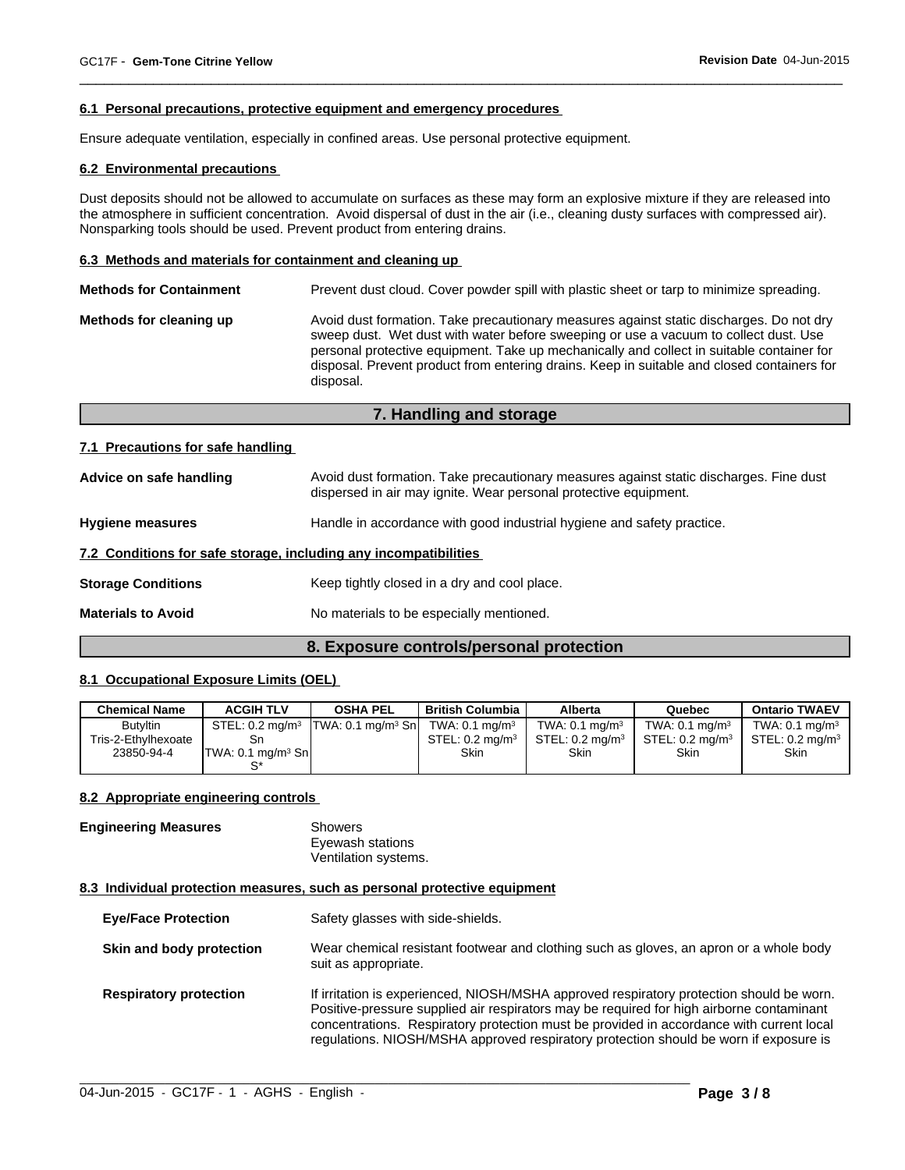#### **6.1 Personal precautions, protective equipment and emergency procedures**

Ensure adequate ventilation, especially in confined areas. Use personal protective equipment.

#### **6.2 Environmental precautions**

Dust deposits should not be allowed to accumulate on surfaces as these may form an explosive mixture if they are released into the atmosphere in sufficient concentration. Avoid dispersal of dust in the air (i.e., cleaning dusty surfaces with compressed air). Nonsparking tools should be used. Prevent product from entering drains.

 $\overline{\phantom{a}}$  ,  $\overline{\phantom{a}}$  ,  $\overline{\phantom{a}}$  ,  $\overline{\phantom{a}}$  ,  $\overline{\phantom{a}}$  ,  $\overline{\phantom{a}}$  ,  $\overline{\phantom{a}}$  ,  $\overline{\phantom{a}}$  ,  $\overline{\phantom{a}}$  ,  $\overline{\phantom{a}}$  ,  $\overline{\phantom{a}}$  ,  $\overline{\phantom{a}}$  ,  $\overline{\phantom{a}}$  ,  $\overline{\phantom{a}}$  ,  $\overline{\phantom{a}}$  ,  $\overline{\phantom{a}}$ 

#### **6.3 Methods and materials for containment and cleaning up**

| Methods for cleaning up | Avoid dust formation. Take precautionary measures against static discharges. Do not dry<br>sweep dust. Wet dust with water before sweeping or use a vacuum to collect dust. Use<br>personal protective equipment. Take up mechanically and collect in suitable container for<br>disposal. Prevent product from entering drains. Keep in suitable and closed containers for<br>disposal. |
|-------------------------|-----------------------------------------------------------------------------------------------------------------------------------------------------------------------------------------------------------------------------------------------------------------------------------------------------------------------------------------------------------------------------------------|

# **7. Handling and storage**

#### **7.1 Precautions for safe handling**

| Advice on safe handling                                          | Avoid dust formation. Take precautionary measures against static discharges. Fine dust<br>dispersed in air may ignite. Wear personal protective equipment. |  |  |
|------------------------------------------------------------------|------------------------------------------------------------------------------------------------------------------------------------------------------------|--|--|
| <b>Hygiene measures</b>                                          | Handle in accordance with good industrial hygiene and safety practice.                                                                                     |  |  |
| 7.2 Conditions for safe storage, including any incompatibilities |                                                                                                                                                            |  |  |
| <b>Storage Conditions</b>                                        | Keep tightly closed in a dry and cool place.                                                                                                               |  |  |
| <b>Materials to Avoid</b>                                        | No materials to be especially mentioned.                                                                                                                   |  |  |

#### **8. Exposure controls/personal protection**

#### **8.1 Occupational Exposure Limits (OEL)**

| <b>Chemical Name</b> | <b>ACGIH TLV</b>                | <b>OSHA PEL</b>               | <b>British Columbia</b>      | <b>Alberta</b>                | Quebec                        | <b>Ontario TWAEV</b>          |
|----------------------|---------------------------------|-------------------------------|------------------------------|-------------------------------|-------------------------------|-------------------------------|
| <b>Butyltin</b>      | STEL: $0.2 \text{ mg/m}^3$      | TWA: 0.1 mg/m <sup>3</sup> Sn | TWA: $0.1$ mg/m <sup>3</sup> | TWA: $0.1$ mg/m <sup>3</sup>  | TWA: $0.1$ mg/m <sup>3</sup>  | TWA: $0.1$ mg/m <sup>3</sup>  |
| Tris-2-Ethvlhexoate  | Sn                              |                               | STEL: $0.2 \text{ ma/m}^3$   | $STEL: 0.2$ ma/m <sup>3</sup> | $STEL: 0.2$ ma/m <sup>3</sup> | $STEL: 0.2$ ma/m <sup>3</sup> |
| 23850-94-4           | ITWA: 0.1 ma/m <sup>3</sup> ShI |                               | <b>Skin</b>                  | <b>Skin</b>                   | <b>Skin</b>                   | <b>Skin</b>                   |
|                      |                                 |                               |                              |                               |                               |                               |

#### **8.2 Appropriate engineering controls**

**Engineering Measures** Showers Eyewash stations Ventilation systems.

#### **8.3 Individual protection measures, such as personal protective equipment**

| <b>Eye/Face Protection</b>    | Safety glasses with side-shields.                                                                                                                                                                                                                                                                                                                                         |
|-------------------------------|---------------------------------------------------------------------------------------------------------------------------------------------------------------------------------------------------------------------------------------------------------------------------------------------------------------------------------------------------------------------------|
| Skin and body protection      | Wear chemical resistant footwear and clothing such as gloves, an apron or a whole body<br>suit as appropriate.                                                                                                                                                                                                                                                            |
| <b>Respiratory protection</b> | If irritation is experienced, NIOSH/MSHA approved respiratory protection should be worn.<br>Positive-pressure supplied air respirators may be required for high airborne contaminant<br>concentrations. Respiratory protection must be provided in accordance with current local<br>regulations. NIOSH/MSHA approved respiratory protection should be worn if exposure is |

 $\_$  ,  $\_$  ,  $\_$  ,  $\_$  ,  $\_$  ,  $\_$  ,  $\_$  ,  $\_$  ,  $\_$  ,  $\_$  ,  $\_$  ,  $\_$  ,  $\_$  ,  $\_$  ,  $\_$  ,  $\_$  ,  $\_$  ,  $\_$  ,  $\_$  ,  $\_$  ,  $\_$  ,  $\_$  ,  $\_$  ,  $\_$  ,  $\_$  ,  $\_$  ,  $\_$  ,  $\_$  ,  $\_$  ,  $\_$  ,  $\_$  ,  $\_$  ,  $\_$  ,  $\_$  ,  $\_$  ,  $\_$  ,  $\_$  ,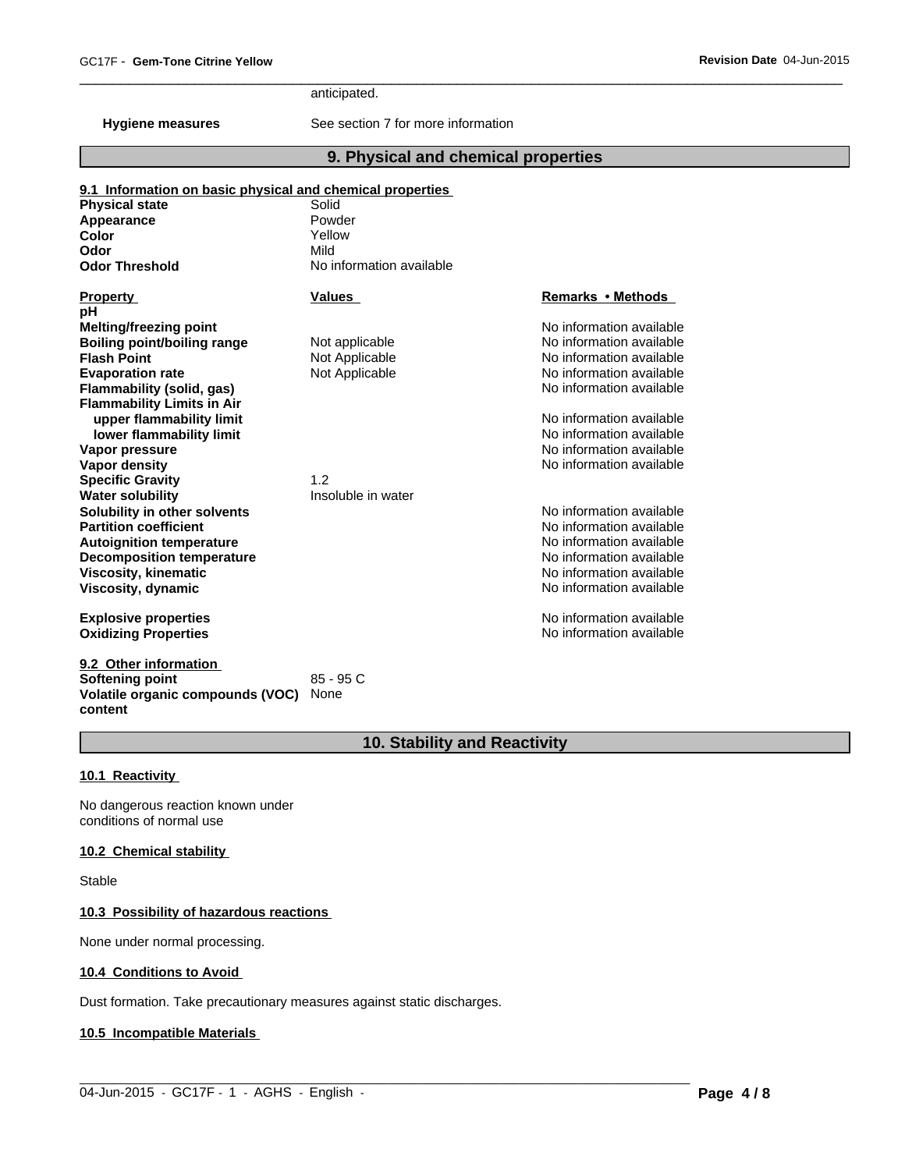anticipated.

**Hygiene measures** See section 7 for more information

# **9. Physical and chemical properties**

 $\overline{\phantom{a}}$  ,  $\overline{\phantom{a}}$  ,  $\overline{\phantom{a}}$  ,  $\overline{\phantom{a}}$  ,  $\overline{\phantom{a}}$  ,  $\overline{\phantom{a}}$  ,  $\overline{\phantom{a}}$  ,  $\overline{\phantom{a}}$  ,  $\overline{\phantom{a}}$  ,  $\overline{\phantom{a}}$  ,  $\overline{\phantom{a}}$  ,  $\overline{\phantom{a}}$  ,  $\overline{\phantom{a}}$  ,  $\overline{\phantom{a}}$  ,  $\overline{\phantom{a}}$  ,  $\overline{\phantom{a}}$ 

| <b>Physical state</b>              | Solid                    |                          |
|------------------------------------|--------------------------|--------------------------|
| Appearance                         | Powder                   |                          |
| Color                              | Yellow                   |                          |
| Odor                               | Mild                     |                          |
| <b>Odor Threshold</b>              | No information available |                          |
| <b>Property</b>                    | <b>Values</b>            | Remarks • Methods        |
| pH                                 |                          |                          |
| <b>Melting/freezing point</b>      |                          | No information available |
| <b>Boiling point/boiling range</b> | Not applicable           | No information available |
| <b>Flash Point</b>                 | Not Applicable           | No information available |
| <b>Evaporation rate</b>            | Not Applicable           | No information available |
| <b>Flammability (solid, gas)</b>   |                          | No information available |
| <b>Flammability Limits in Air</b>  |                          |                          |
| upper flammability limit           |                          | No information available |
| lower flammability limit           |                          | No information available |
| Vapor pressure                     |                          | No information available |
| Vapor density                      |                          | No information available |
| <b>Specific Gravity</b>            | 1.2                      |                          |
| <b>Water solubility</b>            | Insoluble in water       |                          |
| Solubility in other solvents       |                          | No information available |
| <b>Partition coefficient</b>       |                          | No information available |
| <b>Autoignition temperature</b>    |                          | No information available |
| <b>Decomposition temperature</b>   |                          | No information available |
| <b>Viscosity, kinematic</b>        |                          | No information available |
| Viscosity, dynamic                 |                          | No information available |
| <b>Explosive properties</b>        |                          | No information available |
| <b>Oxidizing Properties</b>        |                          | No information available |
| 9.2 Other information              |                          |                          |
| Softening point                    | 85 - 95 C                |                          |
| Volatile organic compounds (VOC)   | None                     |                          |

# **10. Stability and Reactivity**

 $\_$  ,  $\_$  ,  $\_$  ,  $\_$  ,  $\_$  ,  $\_$  ,  $\_$  ,  $\_$  ,  $\_$  ,  $\_$  ,  $\_$  ,  $\_$  ,  $\_$  ,  $\_$  ,  $\_$  ,  $\_$  ,  $\_$  ,  $\_$  ,  $\_$  ,  $\_$  ,  $\_$  ,  $\_$  ,  $\_$  ,  $\_$  ,  $\_$  ,  $\_$  ,  $\_$  ,  $\_$  ,  $\_$  ,  $\_$  ,  $\_$  ,  $\_$  ,  $\_$  ,  $\_$  ,  $\_$  ,  $\_$  ,  $\_$  ,

#### **10.1 Reactivity**

**content**

No dangerous reaction known under conditions of normal use

#### **10.2 Chemical stability**

Stable

#### **10.3 Possibility of hazardous reactions**

None under normal processing.

#### **10.4 Conditions to Avoid**

Dust formation. Take precautionary measures against static discharges.

#### **10.5 Incompatible Materials**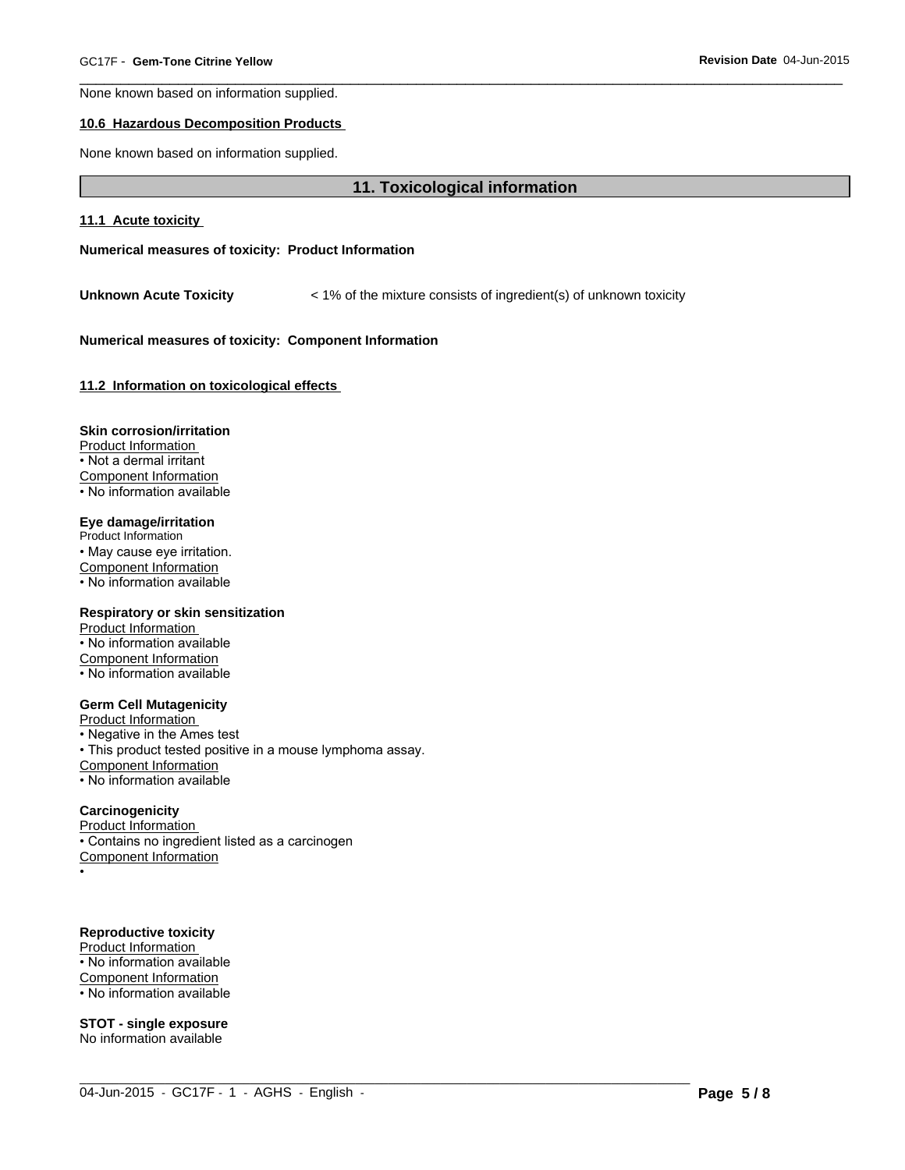None known based on information supplied.

#### **10.6 Hazardous Decomposition Products**

None known based on information supplied.

#### **11. Toxicological information**

 $\_$  ,  $\_$  ,  $\_$  ,  $\_$  ,  $\_$  ,  $\_$  ,  $\_$  ,  $\_$  ,  $\_$  ,  $\_$  ,  $\_$  ,  $\_$  ,  $\_$  ,  $\_$  ,  $\_$  ,  $\_$  ,  $\_$  ,  $\_$  ,  $\_$  ,  $\_$  ,  $\_$  ,  $\_$  ,  $\_$  ,  $\_$  ,  $\_$  ,  $\_$  ,  $\_$  ,  $\_$  ,  $\_$  ,  $\_$  ,  $\_$  ,  $\_$  ,  $\_$  ,  $\_$  ,  $\_$  ,  $\_$  ,  $\_$  ,

 $\overline{\phantom{a}}$  ,  $\overline{\phantom{a}}$  ,  $\overline{\phantom{a}}$  ,  $\overline{\phantom{a}}$  ,  $\overline{\phantom{a}}$  ,  $\overline{\phantom{a}}$  ,  $\overline{\phantom{a}}$  ,  $\overline{\phantom{a}}$  ,  $\overline{\phantom{a}}$  ,  $\overline{\phantom{a}}$  ,  $\overline{\phantom{a}}$  ,  $\overline{\phantom{a}}$  ,  $\overline{\phantom{a}}$  ,  $\overline{\phantom{a}}$  ,  $\overline{\phantom{a}}$  ,  $\overline{\phantom{a}}$ 

#### **11.1 Acute toxicity**

**Numerical measures of toxicity: Product Information**

**Unknown Acute Toxicity** < 1% of the mixture consists of ingredient(s) of unknown toxicity

#### **Numerical measures of toxicity: Component Information**

**11.2 Information on toxicological effects** 

#### **Skin corrosion/irritation**

Product Information • Not a dermal irritant Component Information • No information available

#### **Eye damage/irritation**

Product Information • May cause eye irritation. Component Information • No information available

#### **Respiratory or skin sensitization**

Product Information • No information available Component Information • No information available

#### **Germ Cell Mutagenicity**

Product Information

• Negative in the Ames test • This product tested positive in a mouse lymphoma assay. Component Information • No information available

### **Carcinogenicity**

Product Information • Contains no ingredient listed as a carcinogen Component Information

•

# **Reproductive toxicity**

Product Information • No information available Component Information • No information available

# **STOT - single exposure**

No information available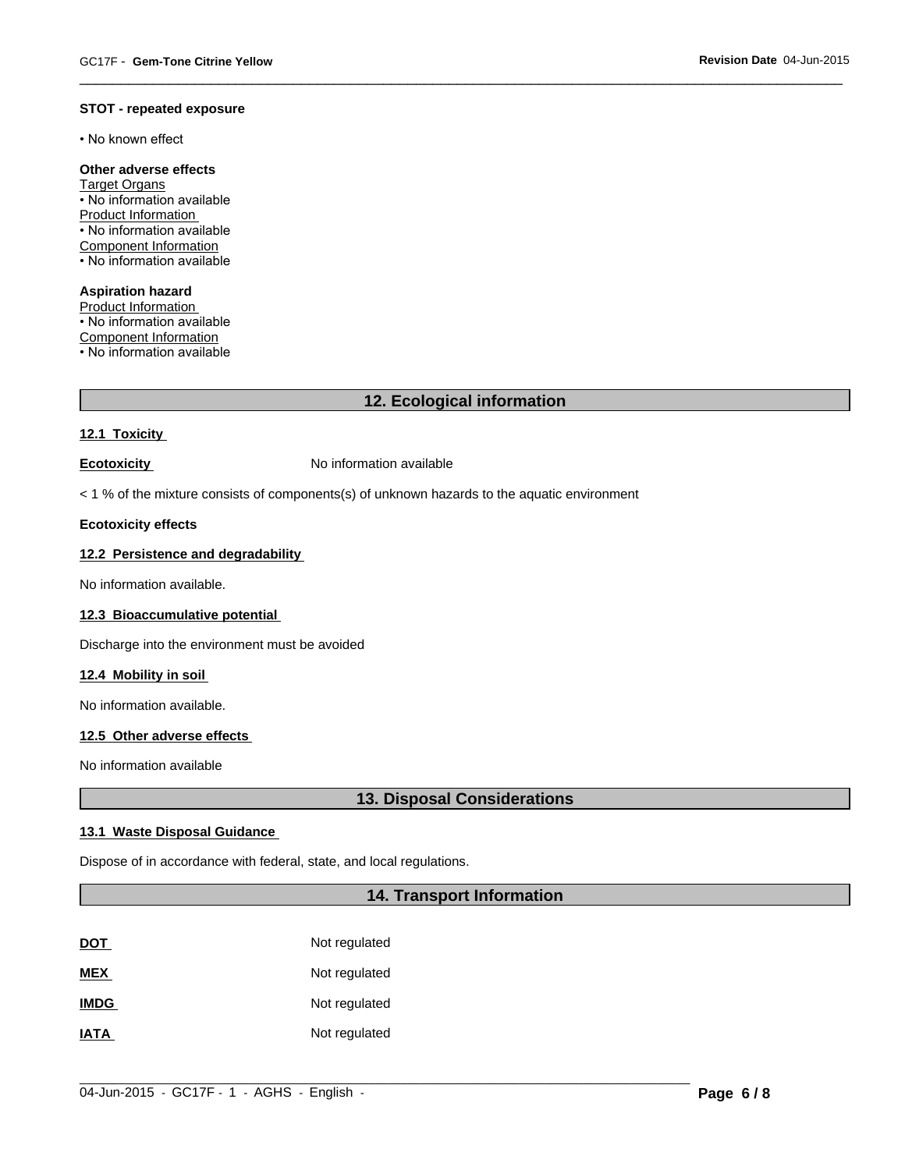#### **STOT - repeated exposure**

• No known effect

# **Other adverse effects**

Target Organs • No information available Product Information • No information available Component Information • No information available

**Aspiration hazard** Product Information

• No information available Component Information  $\cdot$  No information available

# **12. Ecological information**

 $\overline{\phantom{a}}$  ,  $\overline{\phantom{a}}$  ,  $\overline{\phantom{a}}$  ,  $\overline{\phantom{a}}$  ,  $\overline{\phantom{a}}$  ,  $\overline{\phantom{a}}$  ,  $\overline{\phantom{a}}$  ,  $\overline{\phantom{a}}$  ,  $\overline{\phantom{a}}$  ,  $\overline{\phantom{a}}$  ,  $\overline{\phantom{a}}$  ,  $\overline{\phantom{a}}$  ,  $\overline{\phantom{a}}$  ,  $\overline{\phantom{a}}$  ,  $\overline{\phantom{a}}$  ,  $\overline{\phantom{a}}$ 

#### **12.1 Toxicity**

**Ecotoxicity No information available** 

< 1 % of the mixture consists of components(s) of unknown hazards to the aquatic environment

#### **Ecotoxicity effects**

#### **12.2 Persistence and degradability**

No information available.

#### **12.3 Bioaccumulative potential**

Discharge into the environment must be avoided

#### **12.4 Mobility in soil**

No information available.

#### **12.5 Other adverse effects**

No information available

# **13. Disposal Considerations**

#### **13.1 Waste Disposal Guidance**

Dispose of in accordance with federal, state, and local regulations.

# **14. Transport Information**

| <b>DOT</b>  | Not regulated |
|-------------|---------------|
| <b>MEX</b>  | Not regulated |
| <b>IMDG</b> | Not regulated |
| <b>IATA</b> | Not regulated |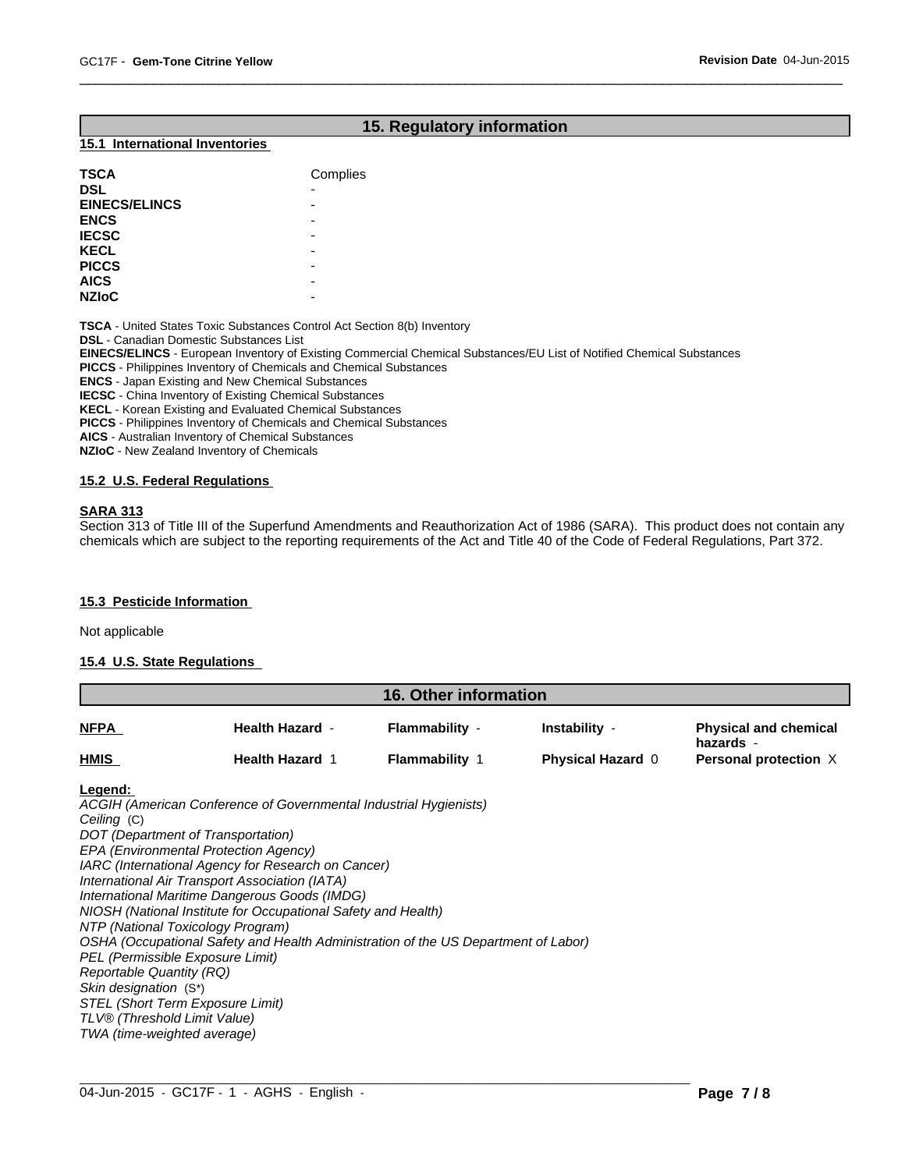# **15. Regulatory information**

 $\overline{\phantom{a}}$  ,  $\overline{\phantom{a}}$  ,  $\overline{\phantom{a}}$  ,  $\overline{\phantom{a}}$  ,  $\overline{\phantom{a}}$  ,  $\overline{\phantom{a}}$  ,  $\overline{\phantom{a}}$  ,  $\overline{\phantom{a}}$  ,  $\overline{\phantom{a}}$  ,  $\overline{\phantom{a}}$  ,  $\overline{\phantom{a}}$  ,  $\overline{\phantom{a}}$  ,  $\overline{\phantom{a}}$  ,  $\overline{\phantom{a}}$  ,  $\overline{\phantom{a}}$  ,  $\overline{\phantom{a}}$ 

#### **15.1 International Inventories**

| <b>TSCA</b>          | Complies |
|----------------------|----------|
| <b>DSL</b>           | ٠        |
| <b>EINECS/ELINCS</b> | -        |
| <b>ENCS</b>          | -        |
| <b>IECSC</b>         | -        |
| <b>KECL</b>          | -        |
| <b>PICCS</b>         | -        |
| <b>AICS</b>          | -        |
| <b>NZIoC</b>         | -        |

**TSCA** - United States Toxic Substances Control Act Section 8(b) Inventory **DSL** - Canadian Domestic Substances List

**EINECS/ELINCS** - European Inventory of Existing Commercial Chemical Substances/EU List of Notified Chemical Substances

**PICCS** - Philippines Inventory of Chemicals and Chemical Substances

**ENCS** - Japan Existing and New Chemical Substances

**IECSC** - China Inventory of Existing Chemical Substances

**KECL** - Korean Existing and Evaluated Chemical Substances

**PICCS** - Philippines Inventory of Chemicals and Chemical Substances

**AICS** - Australian Inventory of Chemical Substances

**NZIoC** - New Zealand Inventory of Chemicals

#### **15.2 U.S. Federal Regulations**

#### **SARA 313**

Section 313 of Title III of the Superfund Amendments and Reauthorization Act of 1986 (SARA). This product does not contain any chemicals which are subject to the reporting requirements of the Act and Title 40 of the Code of Federal Regulations, Part 372.

#### **15.3 Pesticide Information**

Not applicable

#### **15.4 U.S. State Regulations**

| <b>16. Other information</b> |                        |                       |                          |                                           |
|------------------------------|------------------------|-----------------------|--------------------------|-------------------------------------------|
| <b>NFPA</b>                  | <b>Health Hazard -</b> | Flammability -        | Instability -            | <b>Physical and chemical</b><br>hazards - |
| <b>HMIS</b>                  | <b>Health Hazard 1</b> | <b>Flammability 1</b> | <b>Physical Hazard 0</b> | Personal protection X                     |

#### **Legend:**

*ACGIH (American Conference of Governmental Industrial Hygienists) Ceiling* (C) *DOT (Department of Transportation) EPA (Environmental Protection Agency) IARC (International Agency for Research on Cancer) International Air Transport Association (IATA) International Maritime Dangerous Goods (IMDG) NIOSH (National Institute for Occupational Safety and Health) NTP (National Toxicology Program) OSHA (Occupational Safety and Health Administration of the US Department of Labor) PEL (Permissible Exposure Limit) Reportable Quantity (RQ) Skin designation* (S\*) *STEL (Short Term Exposure Limit) TLV® (Threshold Limit Value) TWA (time-weighted average)*